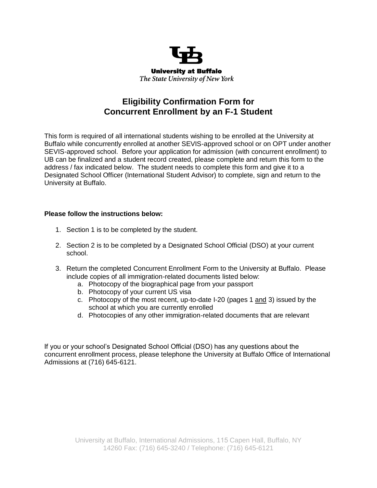

## **Eligibility Confirmation Form for Concurrent Enrollment by an F-1 Student**

This form is required of all international students wishing to be enrolled at the University at Buffalo while concurrently enrolled at another SEVIS-approved school or on OPT under another SEVIS-approved school. Before your application for admission (with concurrent enrollment) to UB can be finalized and a student record created, please complete and return this form to the address / fax indicated below. The student needs to complete this form and give it to a Designated School Officer (International Student Advisor) to complete, sign and return to the University at Buffalo.

### **Please follow the instructions below:**

- 1. Section 1 is to be completed by the student.
- 2. Section 2 is to be completed by a Designated School Official (DSO) at your current school.
- 3. Return the completed Concurrent Enrollment Form to the University at Buffalo. Please include copies of all immigration-related documents listed below:
	- a. Photocopy of the biographical page from your passport
	- b. Photocopy of your current US visa
	- c. Photocopy of the most recent, up-to-date I-20 (pages 1 and 3) issued by the school at which you are currently enrolled
	- d. Photocopies of any other immigration-related documents that are relevant

If you or your school's Designated School Official (DSO) has any questions about the concurrent enrollment process, please telephone the University at Buffalo Office of International Admissions at (716) 645-6121.